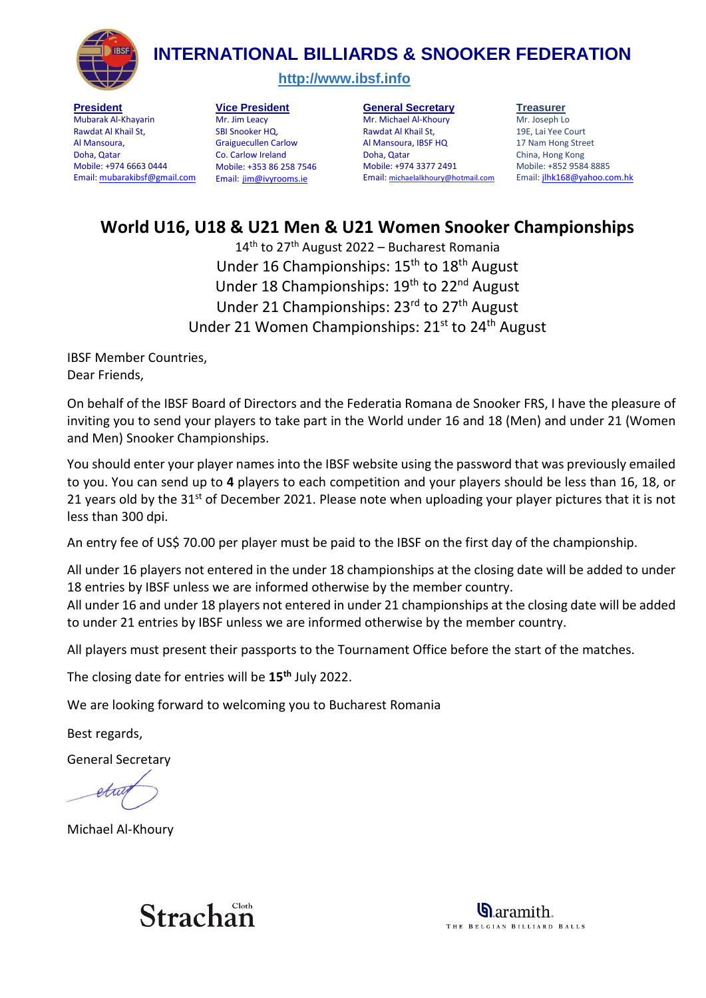

## **INTERNATIONAL BILLIARDS & SNOOKER FEDERATION**

**[http://www.ibsf.info](http://www.ibsf.info/)**

**President** Mubarak Al-Khayarin Rawdat Al Khail St, Al Mansoura, Doha, Qatar Mobile: +974 6663 0444 Email: [mubarakibsf@gmail.com](mailto:mubarakibsf@gmail.com)

**Vice President** Mr. Jim Leacy SBI Snooker HO Graiguecullen Carlow Co. Carlow Ireland Mobile: +353 86 258 7546 Email: [jim@ivyrooms.ie](mailto:jim@ivyrooms.ie)

**General Secretary**  Mr. Michael Al-Khoury Rawdat Al Khail St, Al Mansoura, IBSF HQ Doha, Qatar Mobile: +974 3377 2491 Email: [michaelalkhoury@hotmail.com](mailto:michaelalkhoury@hotmail.com) **Treasurer**

Mr. Joseph Lo 19E, Lai Yee Court 17 Nam Hong Street China, Hong Kong Mobile: +852 9584 8885 Email: jlhk168@yahoo.com.hk

# **World U16, U18 & U21 Men & U21 Women Snooker Championships**

 $14<sup>th</sup>$  to 27<sup>th</sup> August 2022 – Bucharest Romania Under 16 Championships: 15<sup>th</sup> to 18<sup>th</sup> August Under 18 Championships: 19<sup>th</sup> to 22<sup>nd</sup> August Under 21 Championships: 23<sup>rd</sup> to 27<sup>th</sup> August Under 21 Women Championships: 21<sup>st</sup> to 24<sup>th</sup> August

IBSF Member Countries, Dear Friends,

On behalf of the IBSF Board of Directors and the Federatia Romana de Snooker FRS, I have the pleasure of inviting you to send your players to take part in the World under 16 and 18 (Men) and under 21 (Women and Men) Snooker Championships.

You should enter your player names into the IBSF website using the password that was previously emailed to you. You can send up to **4** players to each competition and your players should be less than 16, 18, or 21 years old by the 31<sup>st</sup> of December 2021. Please note when uploading your player pictures that it is not less than 300 dpi.

An entry fee of US\$ 70.00 per player must be paid to the IBSF on the first day of the championship.

All under 16 players not entered in the under 18 championships at the closing date will be added to under 18 entries by IBSF unless we are informed otherwise by the member country.

All under 16 and under 18 players not entered in under 21 championships at the closing date will be added to under 21 entries by IBSF unless we are informed otherwise by the member country.

All players must present their passports to the Tournament Office before the start of the matches.

The closing date for entries will be **15th** July 2022.

We are looking forward to welcoming you to Bucharest Romania

Best regards,

General Secretary

etan

Michael Al-Khoury



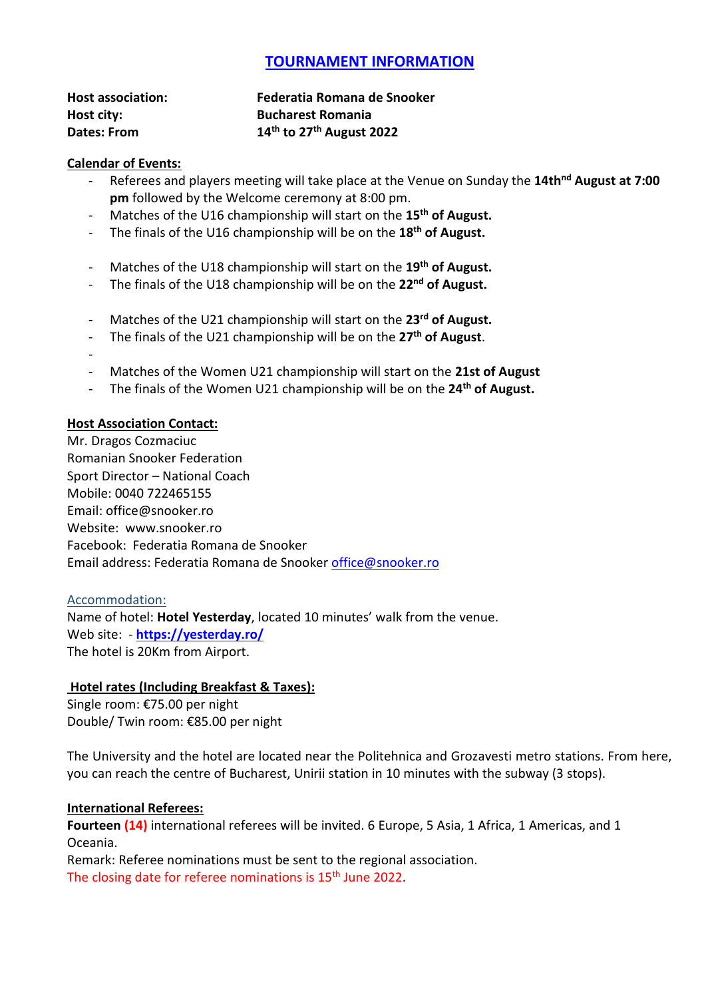### **TOURNAMENT INFORMATION**

| <b>Host association:</b> | Federatia Romana de Snooker            |
|--------------------------|----------------------------------------|
| Host city:               | <b>Bucharest Romania</b>               |
| Dates: From              | $14th$ to 27 <sup>th</sup> August 2022 |

#### **Calendar of Events:**

- Referees and players meeting will take place at the Venue on Sunday the **14thnd August at 7:00 pm** followed by the Welcome ceremony at 8:00 pm.
- Matches of the U16 championship will start on the **15th of August.**
- The finals of the U16 championship will be on the **18th of August.**
- Matches of the U18 championship will start on the **19th of August.**
- The finals of the U18 championship will be on the **22nd of August.**
- Matches of the U21 championship will start on the **23rd of August.**
- The finals of the U21 championship will be on the **27th of August**.
- -
- Matches of the Women U21 championship will start on the **21st of August**
- The finals of the Women U21 championship will be on the **24th of August.**

### **Host Association Contact:**

Mr. Dragos Cozmaciuc Romanian Snooker Federation Sport Director – National Coach Mobile: 0040 722465155 Email: office@snooker.ro Website: www.snooker.ro Facebook: Federatia Romana de Snooker Email address: Federatia Romana de Snooker [office@snooker.ro](mailto:office@snooker.ro)

### Accommodation:

Name of hotel: **Hotel Yesterday**, located 10 minutes' walk from the venue. Web site: - **<https://yesterday.ro/>** The hotel is 20Km from Airport.

### **Hotel rates (Including Breakfast & Taxes):**

Single room: €75.00 per night Double/ Twin room: €85.00 per night

The University and the hotel are located near the Politehnica and Grozavesti metro stations. From here, you can reach the centre of Bucharest, Unirii station in 10 minutes with the subway (3 stops).

### **International Referees:**

**Fourteen (14)** international referees will be invited. 6 Europe, 5 Asia, 1 Africa, 1 Americas, and 1 Oceania.

Remark: Referee nominations must be sent to the regional association. The closing date for referee nominations is 15<sup>th</sup> June 2022.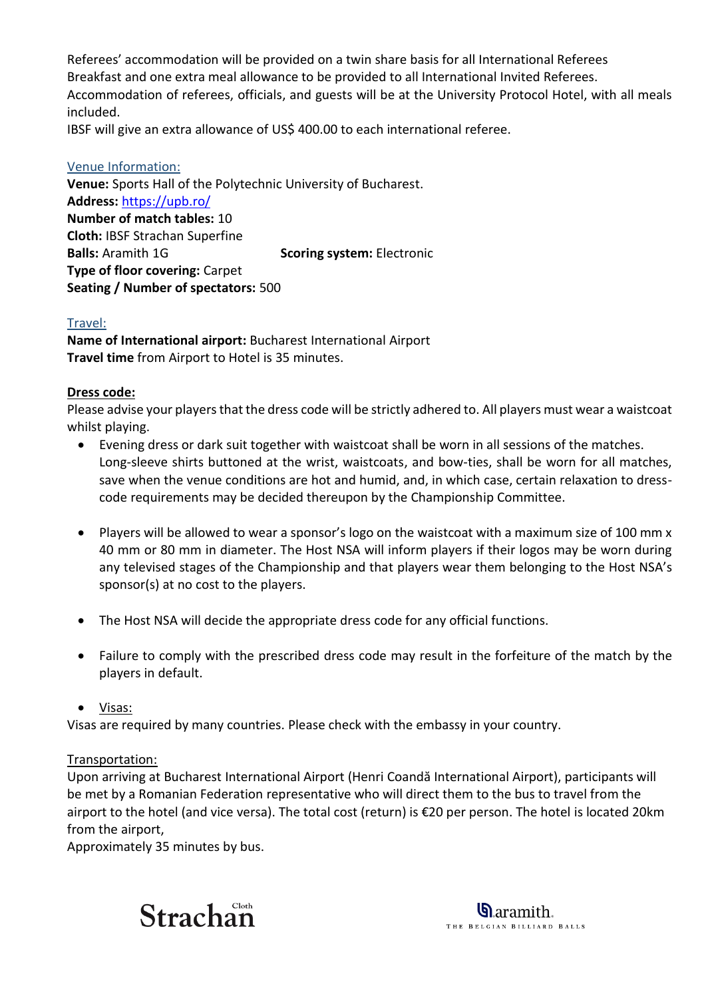Referees' accommodation will be provided on a twin share basis for all International Referees Breakfast and one extra meal allowance to be provided to all International Invited Referees. Accommodation of referees, officials, and guests will be at the University Protocol Hotel, with all meals included.

IBSF will give an extra allowance of US\$ 400.00 to each international referee.

Venue Information: **Venue:** Sports Hall of the Polytechnic University of Bucharest. **Address:** <https://upb.ro/> **Number of match tables:** 10 **Cloth:** IBSF Strachan Superfine **Balls:** Aramith 1G **Scoring system:** Electronic **Type of floor covering:** Carpet **Seating / Number of spectators:** 500

### Travel:

**Name of International airport:** Bucharest International Airport **Travel time** from Airport to Hotel is 35 minutes.

#### **Dress code:**

Please advise your players that the dress code will be strictly adhered to. All players must wear a waistcoat whilst playing.

- Evening dress or dark suit together with waistcoat shall be worn in all sessions of the matches. Long-sleeve shirts buttoned at the wrist, waistcoats, and bow-ties, shall be worn for all matches, save when the venue conditions are hot and humid, and, in which case, certain relaxation to dresscode requirements may be decided thereupon by the Championship Committee.
- Players will be allowed to wear a sponsor's logo on the waistcoat with a maximum size of 100 mm x 40 mm or 80 mm in diameter. The Host NSA will inform players if their logos may be worn during any televised stages of the Championship and that players wear them belonging to the Host NSA's sponsor(s) at no cost to the players.
- The Host NSA will decide the appropriate dress code for any official functions.
- Failure to comply with the prescribed dress code may result in the forfeiture of the match by the players in default.

### Visas:

Visas are required by many countries. Please check with the embassy in your country.

### Transportation:

Upon arriving at Bucharest International Airport (Henri Coandă International Airport), participants will be met by a Romanian Federation representative who will direct them to the bus to travel from the airport to the hotel (and vice versa). The total cost (return) is €20 per person. The hotel is located 20km from the airport,

Approximately 35 minutes by bus.



**Q**aramith. THE BELGIAN BILLIARD BALLS